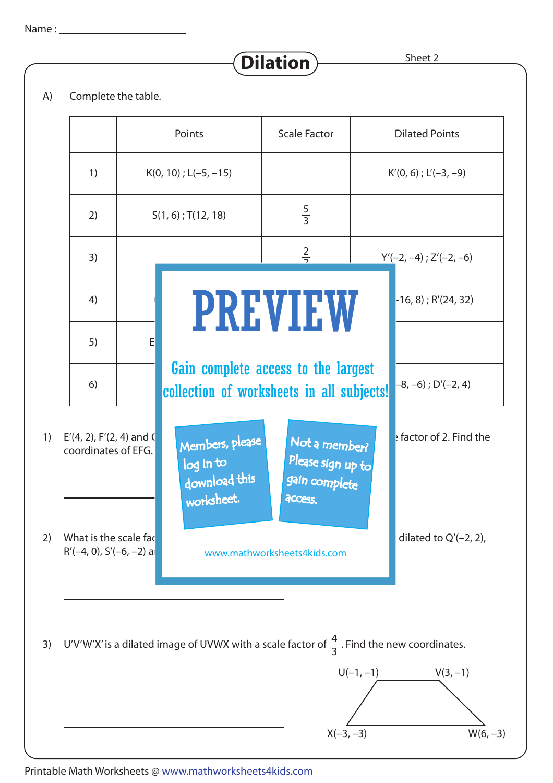Sheet 2

A) Complete the table.



**Dilation**

Printable Math Worksheets @ www.mathworksheets4kids.com